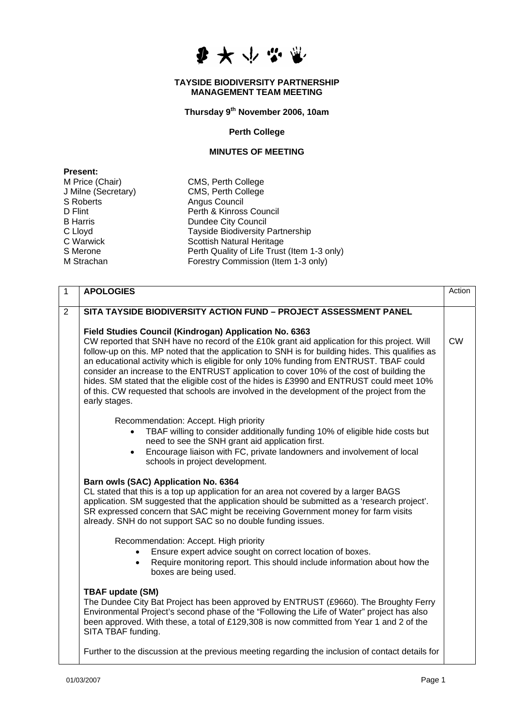

## **TAYSIDE BIODIVERSITY PARTNERSHIP MANAGEMENT TEAM MEETING**

**Thursday 9th November 2006, 10am** 

## **Perth College**

## **MINUTES OF MEETING**

| <b>Present:</b>     |                                             |
|---------------------|---------------------------------------------|
| M Price (Chair)     | CMS, Perth College                          |
| J Milne (Secretary) | CMS, Perth College                          |
| <b>S</b> Roberts    | Angus Council                               |
| D Flint             | Perth & Kinross Council                     |
| <b>B</b> Harris     | <b>Dundee City Council</b>                  |
| C Lloyd             | <b>Tayside Biodiversity Partnership</b>     |
| C Warwick           | <b>Scottish Natural Heritage</b>            |
| S Merone            | Perth Quality of Life Trust (Item 1-3 only) |
| M Strachan          | Forestry Commission (Item 1-3 only)         |

| $\mathbf{1}$   | <b>APOLOGIES</b>                                                                                                                                                                                                                                                                                                                                                                                                                                                                                                                                                                                                                                             | Action    |
|----------------|--------------------------------------------------------------------------------------------------------------------------------------------------------------------------------------------------------------------------------------------------------------------------------------------------------------------------------------------------------------------------------------------------------------------------------------------------------------------------------------------------------------------------------------------------------------------------------------------------------------------------------------------------------------|-----------|
| $\overline{2}$ | SITA TAYSIDE BIODIVERSITY ACTION FUND - PROJECT ASSESSMENT PANEL                                                                                                                                                                                                                                                                                                                                                                                                                                                                                                                                                                                             |           |
|                | Field Studies Council (Kindrogan) Application No. 6363<br>CW reported that SNH have no record of the £10k grant aid application for this project. Will<br>follow-up on this. MP noted that the application to SNH is for building hides. This qualifies as<br>an educational activity which is eligible for only 10% funding from ENTRUST. TBAF could<br>consider an increase to the ENTRUST application to cover 10% of the cost of building the<br>hides. SM stated that the eligible cost of the hides is £3990 and ENTRUST could meet 10%<br>of this. CW requested that schools are involved in the development of the project from the<br>early stages. | <b>CW</b> |
|                | Recommendation: Accept. High priority<br>TBAF willing to consider additionally funding 10% of eligible hide costs but<br>need to see the SNH grant aid application first.<br>Encourage liaison with FC, private landowners and involvement of local<br>$\bullet$<br>schools in project development.                                                                                                                                                                                                                                                                                                                                                          |           |
|                | Barn owls (SAC) Application No. 6364<br>CL stated that this is a top up application for an area not covered by a larger BAGS<br>application. SM suggested that the application should be submitted as a 'research project'.<br>SR expressed concern that SAC might be receiving Government money for farm visits<br>already. SNH do not support SAC so no double funding issues.                                                                                                                                                                                                                                                                             |           |
|                | Recommendation: Accept. High priority<br>Ensure expert advice sought on correct location of boxes.<br>$\bullet$<br>Require monitoring report. This should include information about how the<br>$\bullet$<br>boxes are being used.                                                                                                                                                                                                                                                                                                                                                                                                                            |           |
|                | <b>TBAF update (SM)</b><br>The Dundee City Bat Project has been approved by ENTRUST (£9660). The Broughty Ferry<br>Environmental Project's second phase of the "Following the Life of Water" project has also<br>been approved. With these, a total of £129,308 is now committed from Year 1 and 2 of the<br>SITA TBAF funding.                                                                                                                                                                                                                                                                                                                              |           |
|                | Further to the discussion at the previous meeting regarding the inclusion of contact details for                                                                                                                                                                                                                                                                                                                                                                                                                                                                                                                                                             |           |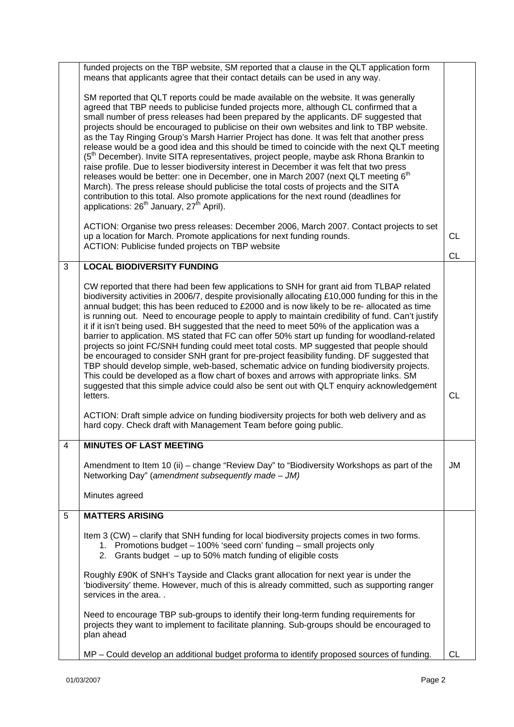|   | funded projects on the TBP website, SM reported that a clause in the QLT application form<br>means that applicants agree that their contact details can be used in any way.                                                                                                                                                                                                                                                                                                                                                                                                                                                                                                                                                                                                                                                                                                                                                                                                                                                                                                                                                  |           |
|---|------------------------------------------------------------------------------------------------------------------------------------------------------------------------------------------------------------------------------------------------------------------------------------------------------------------------------------------------------------------------------------------------------------------------------------------------------------------------------------------------------------------------------------------------------------------------------------------------------------------------------------------------------------------------------------------------------------------------------------------------------------------------------------------------------------------------------------------------------------------------------------------------------------------------------------------------------------------------------------------------------------------------------------------------------------------------------------------------------------------------------|-----------|
|   | SM reported that QLT reports could be made available on the website. It was generally<br>agreed that TBP needs to publicise funded projects more, although CL confirmed that a<br>small number of press releases had been prepared by the applicants. DF suggested that<br>projects should be encouraged to publicise on their own websites and link to TBP website.<br>as the Tay Ringing Group's Marsh Harrier Project has done. It was felt that another press<br>release would be a good idea and this should be timed to coincide with the next QLT meeting<br>(5 <sup>th</sup> December). Invite SITA representatives, project people, maybe ask Rhona Brankin to<br>raise profile. Due to lesser biodiversity interest in December it was felt that two press<br>releases would be better: one in December, one in March 2007 (next QLT meeting 6 <sup>th</sup><br>March). The press release should publicise the total costs of projects and the SITA<br>contribution to this total. Also promote applications for the next round (deadlines for<br>applications: 26 <sup>th</sup> January, 27 <sup>th</sup> April). |           |
|   | ACTION: Organise two press releases: December 2006, March 2007. Contact projects to set<br>up a location for March. Promote applications for next funding rounds.<br>ACTION: Publicise funded projects on TBP website                                                                                                                                                                                                                                                                                                                                                                                                                                                                                                                                                                                                                                                                                                                                                                                                                                                                                                        | <b>CL</b> |
|   |                                                                                                                                                                                                                                                                                                                                                                                                                                                                                                                                                                                                                                                                                                                                                                                                                                                                                                                                                                                                                                                                                                                              | <b>CL</b> |
| 3 | <b>LOCAL BIODIVERSITY FUNDING</b>                                                                                                                                                                                                                                                                                                                                                                                                                                                                                                                                                                                                                                                                                                                                                                                                                                                                                                                                                                                                                                                                                            |           |
|   | CW reported that there had been few applications to SNH for grant aid from TLBAP related<br>biodiversity activities in 2006/7, despite provisionally allocating £10,000 funding for this in the<br>annual budget; this has been reduced to £2000 and is now likely to be re- allocated as time<br>is running out. Need to encourage people to apply to maintain credibility of fund. Can't justify<br>it if it isn't being used. BH suggested that the need to meet 50% of the application was a<br>barrier to application. MS stated that FC can offer 50% start up funding for woodland-related<br>projects so joint FC/SNH funding could meet total costs. MP suggested that people should<br>be encouraged to consider SNH grant for pre-project feasibility funding. DF suggested that<br>TBP should develop simple, web-based, schematic advice on funding biodiversity projects.<br>This could be developed as a flow chart of boxes and arrows with appropriate links. SM<br>suggested that this simple advice could also be sent out with QLT enquiry acknowledgement<br>letters.                                   | <b>CL</b> |
|   | ACTION: Draft simple advice on funding biodiversity projects for both web delivery and as<br>hard copy. Check draft with Management Team before going public.                                                                                                                                                                                                                                                                                                                                                                                                                                                                                                                                                                                                                                                                                                                                                                                                                                                                                                                                                                |           |
|   | <b>MINUTES OF LAST MEETING</b>                                                                                                                                                                                                                                                                                                                                                                                                                                                                                                                                                                                                                                                                                                                                                                                                                                                                                                                                                                                                                                                                                               |           |
|   | Amendment to Item 10 (ii) – change "Review Day" to "Biodiversity Workshops as part of the<br>Networking Day" (amendment subsequently made - JM)                                                                                                                                                                                                                                                                                                                                                                                                                                                                                                                                                                                                                                                                                                                                                                                                                                                                                                                                                                              | JM        |
|   | Minutes agreed                                                                                                                                                                                                                                                                                                                                                                                                                                                                                                                                                                                                                                                                                                                                                                                                                                                                                                                                                                                                                                                                                                               |           |
| 5 | <b>MATTERS ARISING</b>                                                                                                                                                                                                                                                                                                                                                                                                                                                                                                                                                                                                                                                                                                                                                                                                                                                                                                                                                                                                                                                                                                       |           |
|   | Item 3 (CW) – clarify that SNH funding for local biodiversity projects comes in two forms.<br>1. Promotions budget - 100% 'seed corn' funding - small projects only<br>2. Grants budget $-$ up to 50% match funding of eligible costs                                                                                                                                                                                                                                                                                                                                                                                                                                                                                                                                                                                                                                                                                                                                                                                                                                                                                        |           |
|   | Roughly £90K of SNH's Tayside and Clacks grant allocation for next year is under the<br>'biodiversity' theme. However, much of this is already committed, such as supporting ranger<br>services in the area                                                                                                                                                                                                                                                                                                                                                                                                                                                                                                                                                                                                                                                                                                                                                                                                                                                                                                                  |           |
|   | Need to encourage TBP sub-groups to identify their long-term funding requirements for<br>projects they want to implement to facilitate planning. Sub-groups should be encouraged to<br>plan ahead                                                                                                                                                                                                                                                                                                                                                                                                                                                                                                                                                                                                                                                                                                                                                                                                                                                                                                                            |           |
|   | MP - Could develop an additional budget proforma to identify proposed sources of funding.                                                                                                                                                                                                                                                                                                                                                                                                                                                                                                                                                                                                                                                                                                                                                                                                                                                                                                                                                                                                                                    | CL        |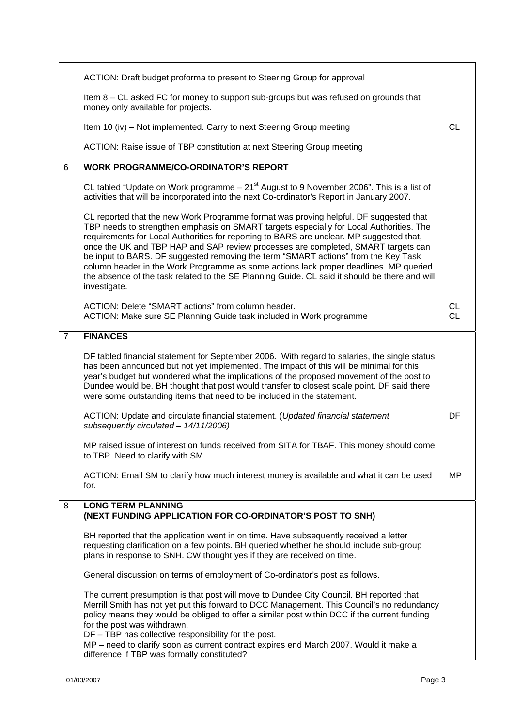|                | ACTION: Draft budget proforma to present to Steering Group for approval                                                                                                                                                                                                                                                                                                                                                                                                                                                                                                                                                                                           |                 |
|----------------|-------------------------------------------------------------------------------------------------------------------------------------------------------------------------------------------------------------------------------------------------------------------------------------------------------------------------------------------------------------------------------------------------------------------------------------------------------------------------------------------------------------------------------------------------------------------------------------------------------------------------------------------------------------------|-----------------|
|                | Item 8 - CL asked FC for money to support sub-groups but was refused on grounds that<br>money only available for projects.                                                                                                                                                                                                                                                                                                                                                                                                                                                                                                                                        |                 |
|                | Item 10 (iv) - Not implemented. Carry to next Steering Group meeting                                                                                                                                                                                                                                                                                                                                                                                                                                                                                                                                                                                              | CL              |
|                | ACTION: Raise issue of TBP constitution at next Steering Group meeting                                                                                                                                                                                                                                                                                                                                                                                                                                                                                                                                                                                            |                 |
| 6              | <b>WORK PROGRAMME/CO-ORDINATOR'S REPORT</b>                                                                                                                                                                                                                                                                                                                                                                                                                                                                                                                                                                                                                       |                 |
|                | CL tabled "Update on Work programme $-21st$ August to 9 November 2006". This is a list of<br>activities that will be incorporated into the next Co-ordinator's Report in January 2007.                                                                                                                                                                                                                                                                                                                                                                                                                                                                            |                 |
|                | CL reported that the new Work Programme format was proving helpful. DF suggested that<br>TBP needs to strengthen emphasis on SMART targets especially for Local Authorities. The<br>requirements for Local Authorities for reporting to BARS are unclear. MP suggested that,<br>once the UK and TBP HAP and SAP review processes are completed, SMART targets can<br>be input to BARS. DF suggested removing the term "SMART actions" from the Key Task<br>column header in the Work Programme as some actions lack proper deadlines. MP queried<br>the absence of the task related to the SE Planning Guide. CL said it should be there and will<br>investigate. |                 |
|                | ACTION: Delete "SMART actions" from column header.<br>ACTION: Make sure SE Planning Guide task included in Work programme                                                                                                                                                                                                                                                                                                                                                                                                                                                                                                                                         | CL<br><b>CL</b> |
| $\overline{7}$ | <b>FINANCES</b>                                                                                                                                                                                                                                                                                                                                                                                                                                                                                                                                                                                                                                                   |                 |
|                | DF tabled financial statement for September 2006. With regard to salaries, the single status<br>has been announced but not yet implemented. The impact of this will be minimal for this<br>year's budget but wondered what the implications of the proposed movement of the post to<br>Dundee would be. BH thought that post would transfer to closest scale point. DF said there<br>were some outstanding items that need to be included in the statement.                                                                                                                                                                                                       |                 |
|                | ACTION: Update and circulate financial statement. (Updated financial statement<br>subsequently circulated - 14/11/2006)                                                                                                                                                                                                                                                                                                                                                                                                                                                                                                                                           | DF              |
|                | MP raised issue of interest on funds received from SITA for TBAF. This money should come<br>to TBP. Need to clarify with SM.                                                                                                                                                                                                                                                                                                                                                                                                                                                                                                                                      |                 |
|                | ACTION: Email SM to clarify how much interest money is available and what it can be used<br>for.                                                                                                                                                                                                                                                                                                                                                                                                                                                                                                                                                                  | <b>MP</b>       |
| 8              | <b>LONG TERM PLANNING</b><br>(NEXT FUNDING APPLICATION FOR CO-ORDINATOR'S POST TO SNH)                                                                                                                                                                                                                                                                                                                                                                                                                                                                                                                                                                            |                 |
|                | BH reported that the application went in on time. Have subsequently received a letter<br>requesting clarification on a few points. BH queried whether he should include sub-group<br>plans in response to SNH. CW thought yes if they are received on time.                                                                                                                                                                                                                                                                                                                                                                                                       |                 |
|                | General discussion on terms of employment of Co-ordinator's post as follows.                                                                                                                                                                                                                                                                                                                                                                                                                                                                                                                                                                                      |                 |
|                | The current presumption is that post will move to Dundee City Council. BH reported that<br>Merrill Smith has not yet put this forward to DCC Management. This Council's no redundancy<br>policy means they would be obliged to offer a similar post within DCC if the current funding<br>for the post was withdrawn.                                                                                                                                                                                                                                                                                                                                              |                 |
|                | DF - TBP has collective responsibility for the post.<br>MP - need to clarify soon as current contract expires end March 2007. Would it make a<br>difference if TBP was formally constituted?                                                                                                                                                                                                                                                                                                                                                                                                                                                                      |                 |